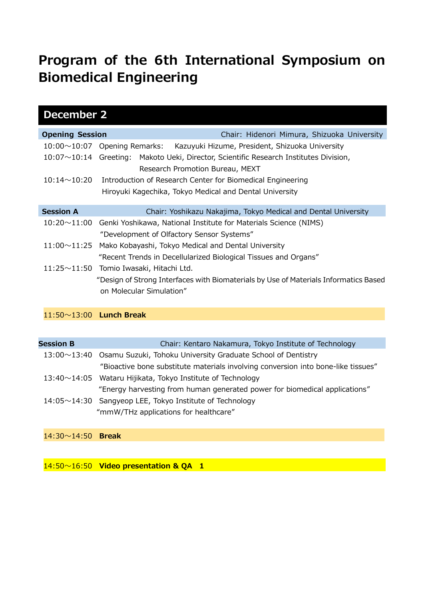## **Program of the 6th International Symposium on Biomedical Engineering**

| <b>December 2</b>              |                                                                                      |  |  |  |  |  |
|--------------------------------|--------------------------------------------------------------------------------------|--|--|--|--|--|
| <b>Opening Session</b>         | Chair: Hidenori Mimura, Shizuoka University                                          |  |  |  |  |  |
| $10:00 \sim 10:07$             | Opening Remarks:<br>Kazuyuki Hizume, President, Shizuoka University                  |  |  |  |  |  |
| $10:07 \sim 10:14$             | Greeting: Makoto Ueki, Director, Scientific Research Institutes Division,            |  |  |  |  |  |
|                                | Research Promotion Bureau, MEXT                                                      |  |  |  |  |  |
| $10:14 \sim 10:20$             | Introduction of Research Center for Biomedical Engineering                           |  |  |  |  |  |
|                                | Hiroyuki Kagechika, Tokyo Medical and Dental University                              |  |  |  |  |  |
| <b>Session A</b>               | Chair: Yoshikazu Nakajima, Tokyo Medical and Dental University                       |  |  |  |  |  |
| $10:20 \sim 11:00$             | Genki Yoshikawa, National Institute for Materials Science (NIMS)                     |  |  |  |  |  |
|                                | "Development of Olfactory Sensor Systems"                                            |  |  |  |  |  |
| $11:00 \sim 11:25$             | Mako Kobayashi, Tokyo Medical and Dental University                                  |  |  |  |  |  |
|                                | "Recent Trends in Decellularized Biological Tissues and Organs"                      |  |  |  |  |  |
|                                | 11:25~11:50 Tomio Iwasaki, Hitachi Ltd.                                              |  |  |  |  |  |
|                                | "Design of Strong Interfaces with Biomaterials by Use of Materials Informatics Based |  |  |  |  |  |
|                                | on Molecular Simulation"                                                             |  |  |  |  |  |
|                                |                                                                                      |  |  |  |  |  |
| $11:50 \sim 13:00$ Lunch Break |                                                                                      |  |  |  |  |  |
|                                |                                                                                      |  |  |  |  |  |
| <b>Session B</b>               | Chair: Kentaro Nakamura, Tokyo Institute of Technology                               |  |  |  |  |  |
| $13:00 \sim 13:40$             | Osamu Suzuki, Tohoku University Graduate School of Dentistry                         |  |  |  |  |  |
|                                | "Bioactive bone substitute materials involving conversion into bone-like tissues"    |  |  |  |  |  |
| $13:40 \sim 14:05$             | Wataru Hijikata, Tokyo Institute of Technology                                       |  |  |  |  |  |
|                                | "Energy harvesting from human generated power for biomedical applications"           |  |  |  |  |  |
|                                | $14.05 \times 14.30$ Sangyeon LEE Tokyo Institute of Technology                      |  |  |  |  |  |

14:05~14:30 Sangyeop LEE, Tokyo Institute of Technology "mmW/THz applications for healthcare"

14:30~14:50 **Break** 

14:50~16:50 **Video presentation & QA 1**